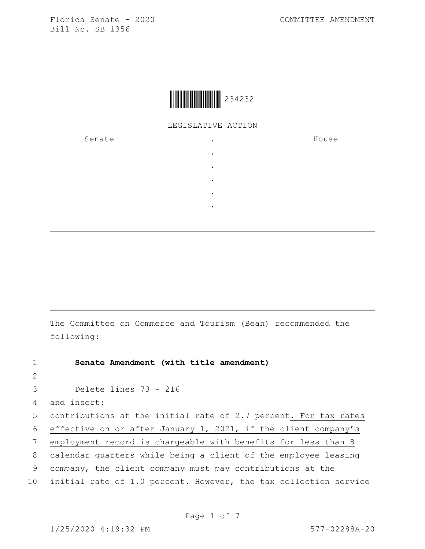

LEGISLATIVE ACTION

. . . . .

Senate the senate of the senate of  $\mathbf{S}$ 

House

The Committee on Commerce and Tourism (Bean) recommended the following:

1 **Senate Amendment (with title amendment)**

3 Delete lines 73 - 216

4 and insert:

5 contributions at the initial rate of 2.7 percent. For tax rates 6 effective on or after January 1, 2021, if the client company's 7 employment record is chargeable with benefits for less than 8 8  $\vert$  calendar quarters while being a client of the employee leasing 9 company, the client company must pay contributions at the 10 initial rate of 1.0 percent. However, the tax collection service

2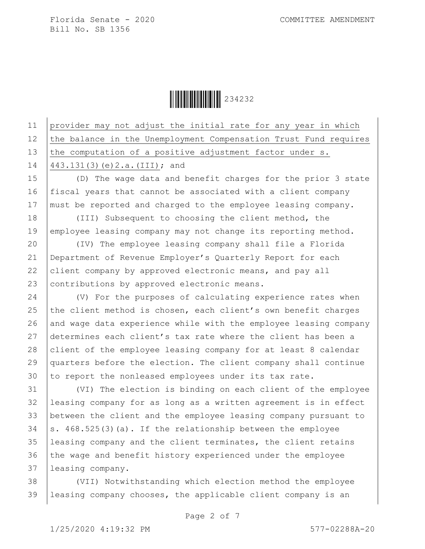Ì234232sÎ234232

11 provider may not adjust the initial rate for any year in which 12 the balance in the Unemployment Compensation Trust Fund requires 13 the computation of a positive adjustment factor under  $s$ . 14 443.131(3)(e)2.a.(III); and 15 (D) The wage data and benefit charges for the prior 3 state 16 fiscal years that cannot be associated with a client company 17 | must be reported and charged to the employee leasing company. 18 (III) Subsequent to choosing the client method, the 19 employee leasing company may not change its reporting method. 20 (IV) The employee leasing company shall file a Florida 21 Department of Revenue Employer's Quarterly Report for each 22 client company by approved electronic means, and pay all 23 contributions by approved electronic means. 24 (V) For the purposes of calculating experience rates when 25 the client method is chosen, each client's own benefit charges  $26$  and wage data experience while with the employee leasing company 27 determines each client's tax rate where the client has been a 28 client of the employee leasing company for at least 8 calendar 29 quarters before the election. The client company shall continue 30 to report the nonleased employees under its tax rate. 31 (VI) The election is binding on each client of the employee 32 leasing company for as long as a written agreement is in effect

 between the client and the employee leasing company pursuant to  $\vert$  s. 468.525(3)(a). If the relationship between the employee leasing company and the client terminates, the client retains the wage and benefit history experienced under the employee leasing company.

38 (VII) Notwithstanding which election method the employee 39 leasing company chooses, the applicable client company is an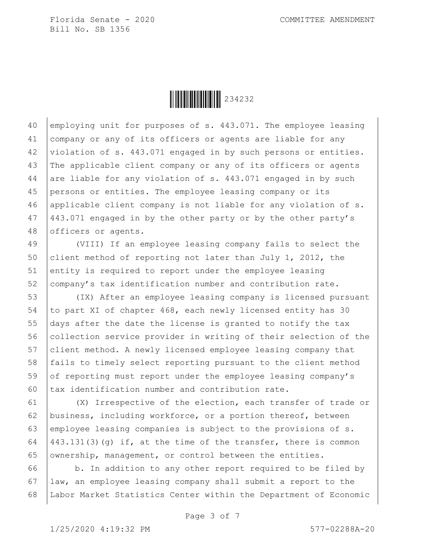

40 employing unit for purposes of s. 443.071. The employee leasing company or any of its officers or agents are liable for any violation of s. 443.071 engaged in by such persons or entities. The applicable client company or any of its officers or agents 44 are liable for any violation of s.  $443.071$  engaged in by such persons or entities. The employee leasing company or its applicable client company is not liable for any violation of s. 443.071 engaged in by the other party or by the other party's 48 officers or agents.

49 (VIII) If an employee leasing company fails to select the 50 client method of reporting not later than July 1, 2012, the 51 entity is required to report under the employee leasing 52 company's tax identification number and contribution rate.

 (IX) After an employee leasing company is licensed pursuant 54 to part XI of chapter 468, each newly licensed entity has 30 days after the date the license is granted to notify the tax 56 collection service provider in writing of their selection of the client method. A newly licensed employee leasing company that fails to timely select reporting pursuant to the client method 59 of reporting must report under the employee leasing company's  $\vert$  tax identification number and contribution rate.

 (X) Irrespective of the election, each transfer of trade or business, including workforce, or a portion thereof, between employee leasing companies is subject to the provisions of s.  $(443.131(3)(q)$  if, at the time of the transfer, there is common 65 ownership, management, or control between the entities.

 $66$  b. In addition to any other report required to be filed by 67 law, an employee leasing company shall submit a report to the 68 Labor Market Statistics Center within the Department of Economic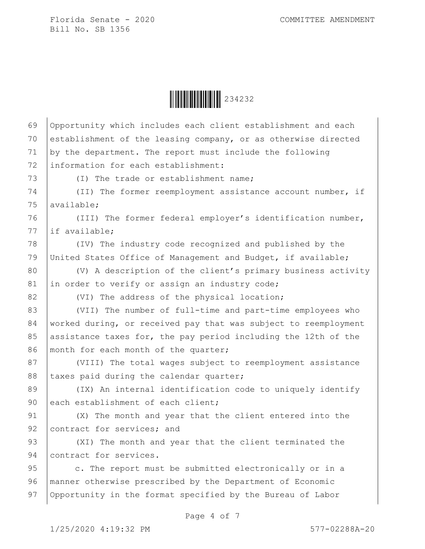

| 69 | Opportunity which includes each client establishment and each   |
|----|-----------------------------------------------------------------|
| 70 | establishment of the leasing company, or as otherwise directed  |
| 71 | by the department. The report must include the following        |
| 72 | information for each establishment:                             |
| 73 | (I) The trade or establishment name;                            |
| 74 | (II) The former reemployment assistance account number, if      |
| 75 | available;                                                      |
| 76 | (III) The former federal employer's identification number,      |
| 77 | if available;                                                   |
| 78 | (IV) The industry code recognized and published by the          |
| 79 | United States Office of Management and Budget, if available;    |
| 80 | (V) A description of the client's primary business activity     |
| 81 | in order to verify or assign an industry code;                  |
| 82 | (VI) The address of the physical location;                      |
| 83 | (VII) The number of full-time and part-time employees who       |
| 84 | worked during, or received pay that was subject to reemployment |
| 85 | assistance taxes for, the pay period including the 12th of the  |
| 86 | month for each month of the quarter;                            |
| 87 | (VIII) The total wages subject to reemployment assistance       |
| 88 | taxes paid during the calendar quarter;                         |
| 89 | (IX) An internal identification code to uniquely identify       |
| 90 | each establishment of each client;                              |
| 91 | (X) The month and year that the client entered into the         |
| 92 | contract for services; and                                      |
| 93 | (XI) The month and year that the client terminated the          |
| 94 | contract for services.                                          |
| 95 | c. The report must be submitted electronically or in a          |
| 96 | manner otherwise prescribed by the Department of Economic       |
| 97 | Opportunity in the format specified by the Bureau of Labor      |

Page 4 of 7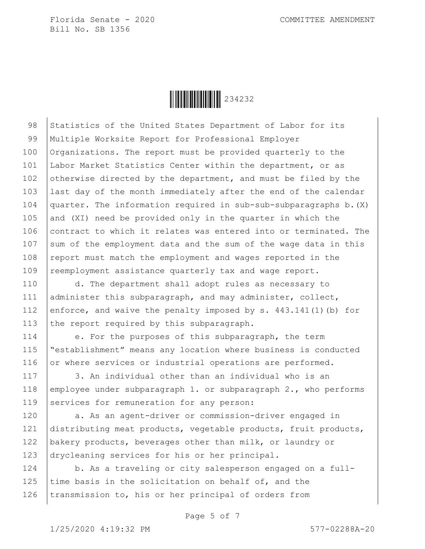

98 Statistics of the United States Department of Labor for its 99 Multiple Worksite Report for Professional Employer 100 Organizations. The report must be provided quarterly to the 101 | Labor Market Statistics Center within the department, or as 102 otherwise directed by the department, and must be filed by the 103 last day of the month immediately after the end of the calendar 104  $\vert$  quarter. The information required in sub-sub-subparagraphs b. (X) 105 and (XI) need be provided only in the quarter in which the 106 contract to which it relates was entered into or terminated. The 107 sum of the employment data and the sum of the wage data in this 108 report must match the employment and wages reported in the 109 reemployment assistance quarterly tax and wage report.

110 d. The department shall adopt rules as necessary to 111 administer this subparagraph, and may administer, collect, 112 enforce, and waive the penalty imposed by s.  $443.141(1)$  (b) for 113 the report required by this subparagraph.

114 e. For the purposes of this subparagraph, the term 115 "establishment" means any location where business is conducted 116 or where services or industrial operations are performed.

117 3. An individual other than an individual who is an 118 employee under subparagraph 1. or subparagraph 2., who performs 119 | services for remuneration for any person:

120 a. As an agent-driver or commission-driver engaged in 121 distributing meat products, vegetable products, fruit products, 122 bakery products, beverages other than milk, or laundry or 123 drycleaning services for his or her principal.

124 b. As a traveling or city salesperson engaged on a full-125 time basis in the solicitation on behalf of, and the 126 transmission to, his or her principal of orders from

Page 5 of 7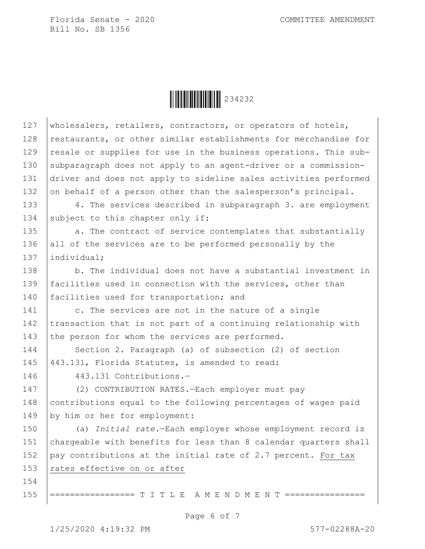Ì234232sÎ234232

127 wholesalers, retailers, contractors, or operators of hotels, 128 restaurants, or other similar establishments for merchandise for 129 | resale or supplies for use in the business operations. This sub-130 subparagraph does not apply to an agent-driver or a commission-131 driver and does not apply to sideline sales activities performed 132 on behalf of a person other than the salesperson's principal. 133 4. The services described in subparagraph 3. are employment 134 subject to this chapter only if: 135 a. The contract of service contemplates that substantially 136 all of the services are to be performed personally by the 137 lindividual; 138 b. The individual does not have a substantial investment in 139 facilities used in connection with the services, other than 140 facilities used for transportation; and 141 c. The services are not in the nature of a single 142 transaction that is not part of a continuing relationship with 143 the person for whom the services are performed. 144 Section 2. Paragraph (a) of subsection (2) of section 145 443.131, Florida Statutes, is amended to read: 146 443.131 Contributions.— 147 (2) CONTRIBUTION RATES.—Each employer must pay 148 contributions equal to the following percentages of wages paid 149 by him or her for employment: 150 (a) *Initial rate.*—Each employer whose employment record is 151 chargeable with benefits for less than 8 calendar quarters shall 152  $\vert$  pay contributions at the initial rate of 2.7 percent. For tax 153  $rates$  effective on or after 154 155 ================== T I T L E A M E N D M E N T ========